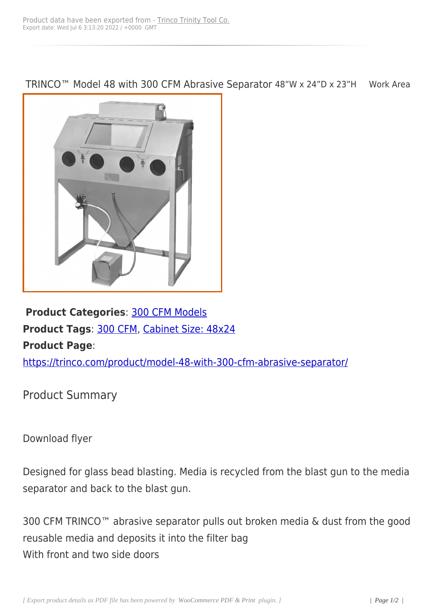TRINCO™ Model 48 with 300 CFM Abrasive Separator 48"W x 24"D x 23"H Work Area



**Product Categories**: 300 CFM Models **Product Tags**: 300 CFM, Cabinet Size: 48x24 **Product Page**:

https://trinco.co[m/produc](https://trinco.com/product-tag/300-cfm/)[t/model-48-with-300-](https://trinco.com/product-tag/cabinet-size-48x24/)cfm-abrasive-separator/

[Product Summary](https://trinco.com/product/model-48-with-300-cfm-abrasive-separator/)

Download flyer

Designed for glass bead blasting. Media is recycled from the blast gun to the media separator and back to the blast gun.

300 CFM TRINCO™ abrasive separator pulls out broken media & dust from the good reusable media and deposits it into the filter bag With front and two side doors